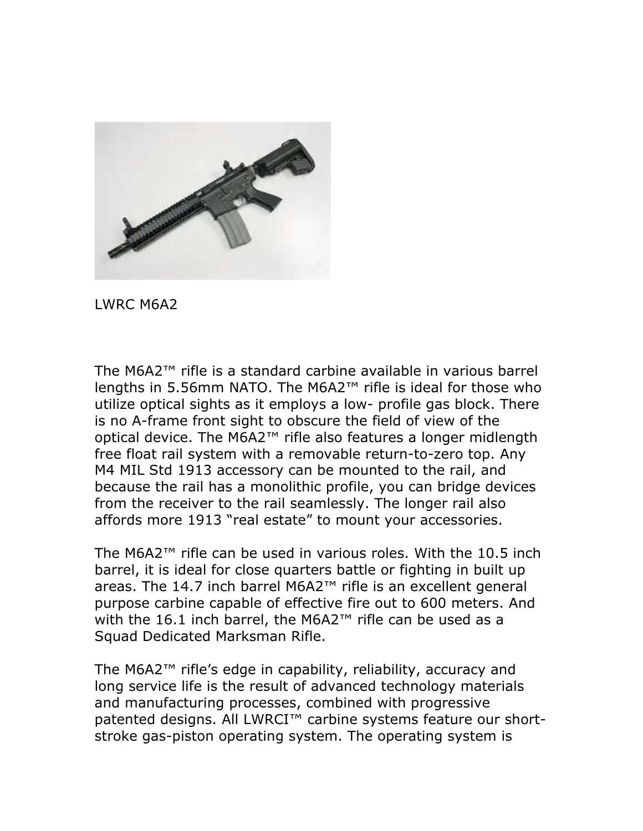

LWRC M6A2

The M6A2™ rifle is a standard carbine available in various barrel lengths in 5.56mm NATO. The M6A2™ rifle is ideal for those who utilize optical sights as it employs a low- profile gas block. There is no A-frame front sight to obscure the field of view of the optical device. The M6A2™ rifle also features a longer midlength free float rail system with a removable return-to-zero top. Any M4 MIL Std 1913 accessory can be mounted to the rail, and because the rail has a monolithic profile, you can bridge devices from the receiver to the rail seamlessly. The longer rail also affords more 1913 "real estate" to mount your accessories.

The M6A2™ rifle can be used in various roles. With the 10.5 inch barrel, it is ideal for close quarters battle or fighting in built up areas. The 14.7 inch barrel M6A2™ rifle is an excellent general purpose carbine capable of effective fire out to 600 meters. And with the 16.1 inch barrel, the M6A2™ rifle can be used as a Squad Dedicated Marksman Rifle.

The M6A2™ rifle's edge in capability, reliability, accuracy and long service life is the result of advanced technology materials and manufacturing processes, combined with progressive patented designs. All LWRCI<sup>™</sup> carbine systems feature our shortstroke gas-piston operating system. The operating system is